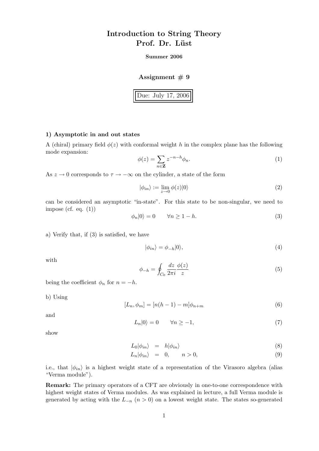# Introduction to String Theory Prof. Dr. Lüst

### Summer 2006

### Assignment  $# 9$

Due: July 17, 2006

## 1) Asymptotic in and out states

A (chiral) primary field  $\phi(z)$  with conformal weight h in the complex plane has the following mode expansion:

$$
\phi(z) = \sum_{n \in \mathbf{Z}} z^{-n-h} \phi_n.
$$
\n(1)

As  $z \to 0$  corresponds to  $\tau \to -\infty$  on the cylinder, a state of the form

$$
|\phi_{in}\rangle := \lim_{z \to 0} \phi(z)|0\rangle \tag{2}
$$

can be considered an asymptotic "in-state". For this state to be non-singular, we need to impose (cf. eq.  $(1)$ )

$$
\phi_n|0\rangle = 0 \qquad \forall n \ge 1 - h. \tag{3}
$$

a) Verify that, if (3) is satisfied, we have

$$
|\phi_{in}\rangle = \phi_{-h}|0\rangle,\tag{4}
$$

with

$$
\phi_{-h} = \oint_{C_0} \frac{dz}{2\pi i} \frac{\phi(z)}{z} \tag{5}
$$

being the coefficient  $\phi_n$  for  $n = -h$ .

b) Using

$$
[L_n, \phi_m] = [n(h-1) - m]\phi_{n+m}
$$
\n(6)

and

$$
L_n|0\rangle = 0 \qquad \forall n \ge -1,\tag{7}
$$

show

$$
L_0|\phi_{in}\rangle = h|\phi_{in}\rangle \tag{8}
$$

$$
L_n|\phi_{in}\rangle = 0, \qquad n > 0,
$$
\n(9)

i.e., that  $|\phi_{in}\rangle$  is a highest weight state of a representation of the Virasoro algebra (alias "Verma module").

Remark: The primary operators of a CFT are obviously in one-to-one correspondence with highest weight states of Verma modules. As was explained in lecture, a full Verma module is generated by acting with the  $L_{-n}$  ( $n > 0$ ) on a lowest weight state. The states so-generated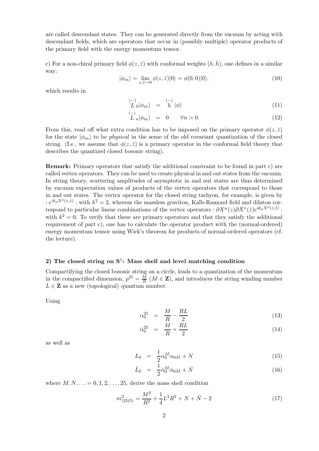are called descendant states. They can be generated directly from the vacuum by acting with descendant fields, which are operators that occur in (possibly multiple) operator products of the primary field with the energy momentum tensor.

c) For a non-chiral primary field  $\phi(z,\bar{z})$  with conformal weights  $(h,\bar{h})$ , one defines in a similar way:

$$
|\phi_{in}\rangle = \lim_{z,\bar{z}\to 0} \phi(z,\bar{z})|0\rangle = \phi(0,0)|0\rangle, \tag{10}
$$

which results in

$$
\begin{array}{c}\n\binom{-}{L} \\
L\end{array}\n\begin{array}{c}\n\phi_{in}\n\end{array}\n\end{array} =\n\begin{array}{c}\n\binom{-}{L} \\
\phi\n\end{array} \tag{11}
$$

$$
\begin{array}{rcl}\n\binom{-}{L} & = & 0 & \forall n > 0.\n\end{array}\n\tag{12}
$$

From this, read off what extra condition has to be imposed on the primary operator  $\phi(z,\bar{z})$ for the state  $|\phi_{in}\rangle$  to be *physical* in the sense of the old covariant quantization of the closed string. (I.e., we assume that  $\phi(z,\bar{z})$  is a primary operator in the conformal field theory that describes the quantized closed bosonic string).

Remark: Primary operators that satisfy the additional constraint to be found in part c) are called vertex operators. They can be used to create physical in and out states from the vacuum. In string theory, scattering amplitudes of asymptotic in and out states are thus determined by vacuum expectation values of products of the vertex operators that correspond to those in and out states. The vertex operator for the closed string tachyon, for example, is given by :  $e^{ik_{\rho}X^{\rho}(z,\bar{z})}$ : with  $k^2=2$ , whereas the massless graviton, Kalb-Ramond field and dilaton correspond to particular linear combinations of the vertex operators :  $\partial X^{\mu}(z)\bar{\partial}\bar{X}^{\nu}(\bar{z})e^{ik_{\rho}X^{\rho}(z,\bar{z})}$ : with  $k^2 = 0$ . To verify that these are primary operators and that they satisfy the additional requirement of part c), one has to calculate the operator product with the (normal-ordered) energy momentum tensor using Wick's theorem for products of normal-ordered operators (cf. the lecture).

# 2) The closed string on  $S^1$ : Mass shell and level matching condition

Compactifying the closed bosonic string on a circle, leads to a quantization of the momentum in the compactified dimension,  $p^{25} = \frac{M}{R}$  $\frac{M}{R}$  ( $M \in \mathbf{Z}$ ), and introduces the string winding number  $L \in \mathbf{Z}$  as a new (topological) quantum number.

Using

$$
\alpha_0^{25} = \frac{M}{R} - \frac{RL}{2} \tag{13}
$$

$$
\bar{\alpha}_0^{25} = \frac{M}{R} + \frac{RL}{2} \tag{14}
$$

as well as

$$
L_0 = \frac{1}{2} \alpha_0^M \alpha_{0M} + N \tag{15}
$$

$$
\bar{L}_0 = \frac{1}{2} \bar{\alpha}_0^M \bar{\alpha}_{0M} + \bar{N}
$$
\n(16)

where  $M, N, \ldots = 0, 1, 2, \ldots, 25$ , derive the mass shell condition

$$
m_{(25D)}^2 = \frac{M^2}{R^2} + \frac{1}{4}L^2R^2 + N + \bar{N} - 2\tag{17}
$$